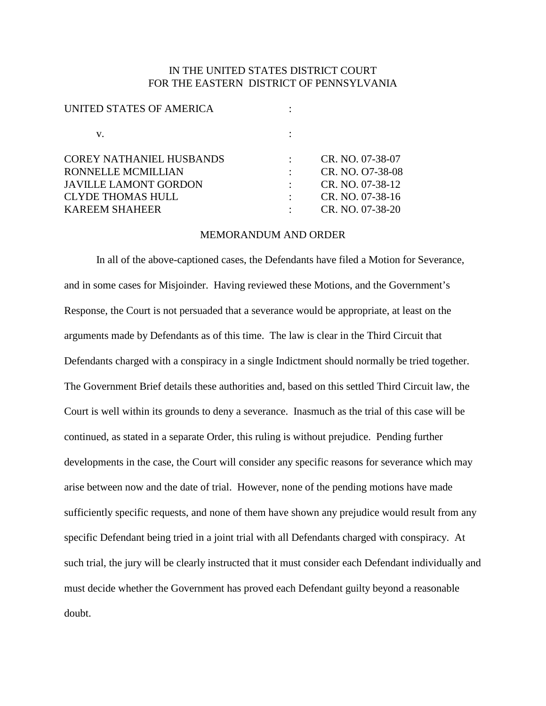## IN THE UNITED STATES DISTRICT COURT FOR THE EASTERN DISTRICT OF PENNSYLVANIA

| UNITED STATES OF AMERICA        |                  |
|---------------------------------|------------------|
| v.                              |                  |
| <b>COREY NATHANIEL HUSBANDS</b> | CR. NO. 07-38-07 |
| <b>RONNELLE MCMILLIAN</b>       | CR. NO. 07-38-08 |
| <b>JAVILLE LAMONT GORDON</b>    | CR. NO. 07-38-12 |
| <b>CLYDE THOMAS HULL</b>        | CR. NO. 07-38-16 |
| <b>KAREEM SHAHEER</b>           | CR. NO. 07-38-20 |
|                                 |                  |

## MEMORANDUM AND ORDER

In all of the above-captioned cases, the Defendants have filed a Motion for Severance, and in some cases for Misjoinder. Having reviewed these Motions, and the Government's Response, the Court is not persuaded that a severance would be appropriate, at least on the arguments made by Defendants as of this time. The law is clear in the Third Circuit that Defendants charged with a conspiracy in a single Indictment should normally be tried together. The Government Brief details these authorities and, based on this settled Third Circuit law, the Court is well within its grounds to deny a severance. Inasmuch as the trial of this case will be continued, as stated in a separate Order, this ruling is without prejudice. Pending further developments in the case, the Court will consider any specific reasons for severance which may arise between now and the date of trial. However, none of the pending motions have made sufficiently specific requests, and none of them have shown any prejudice would result from any specific Defendant being tried in a joint trial with all Defendants charged with conspiracy. At such trial, the jury will be clearly instructed that it must consider each Defendant individually and must decide whether the Government has proved each Defendant guilty beyond a reasonable doubt.